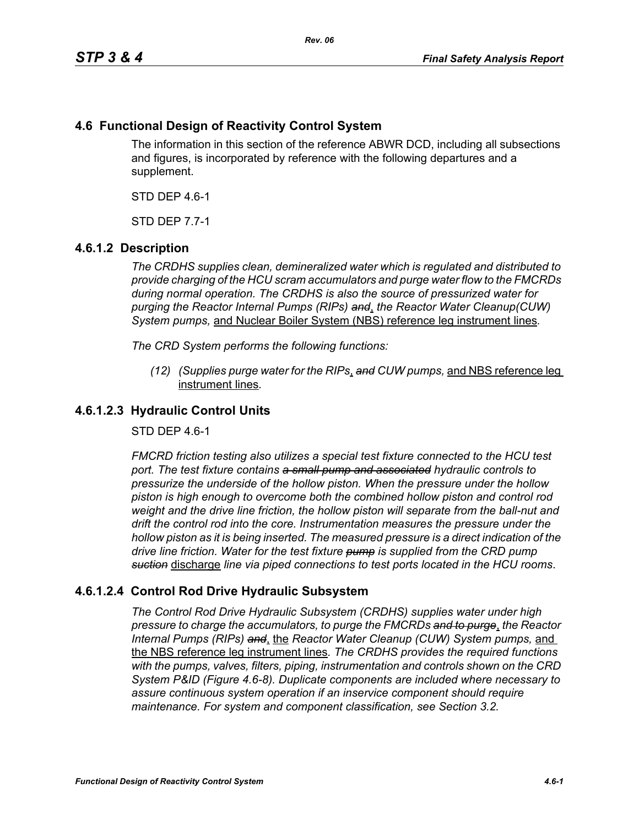# **4.6 Functional Design of Reactivity Control System**

The information in this section of the reference ABWR DCD, including all subsections and figures, is incorporated by reference with the following departures and a supplement.

STD DEP 4.6-1

STD DEP 7.7-1

### **4.6.1.2 Description**

*The CRDHS supplies clean, demineralized water which is regulated and distributed to provide charging of the HCU scram accumulators and purge water flow to the FMCRDs during normal operation. The CRDHS is also the source of pressurized water for purging the Reactor Internal Pumps (RIPs) and*, *the Reactor Water Cleanup(CUW) System pumps,* and Nuclear Boiler System (NBS) reference leg instrument lines*.*

*The CRD System performs the following functions:*

*(12) (Supplies purge water for the RIPs*, *and CUW pumps,* and NBS reference leg instrument lines*.*

## **4.6.1.2.3 Hydraulic Control Units**

STD DEP 4.6-1

*FMCRD friction testing also utilizes a special test fixture connected to the HCU test port. The test fixture contains a small pump and associated hydraulic controls to pressurize the underside of the hollow piston. When the pressure under the hollow piston is high enough to overcome both the combined hollow piston and control rod weight and the drive line friction, the hollow piston will separate from the ball-nut and drift the control rod into the core. Instrumentation measures the pressure under the hollow piston as it is being inserted. The measured pressure is a direct indication of the drive line friction. Water for the test fixture pump is supplied from the CRD pump suction* discharge *line via piped connections to test ports located in the HCU rooms*.

## **4.6.1.2.4 Control Rod Drive Hydraulic Subsystem**

*The Control Rod Drive Hydraulic Subsystem (CRDHS) supplies water under high pressure to charge the accumulators, to purge the FMCRDs and to purge*, *the Reactor Internal Pumps (RIPs) and*, the *Reactor Water Cleanup (CUW) System pumps,* and the NBS reference leg instrument lines*. The CRDHS provides the required functions with the pumps, valves, filters, piping, instrumentation and controls shown on the CRD System P&ID (Figure 4.6-8). Duplicate components are included where necessary to assure continuous system operation if an inservice component should require maintenance. For system and component classification, see Section 3.2.*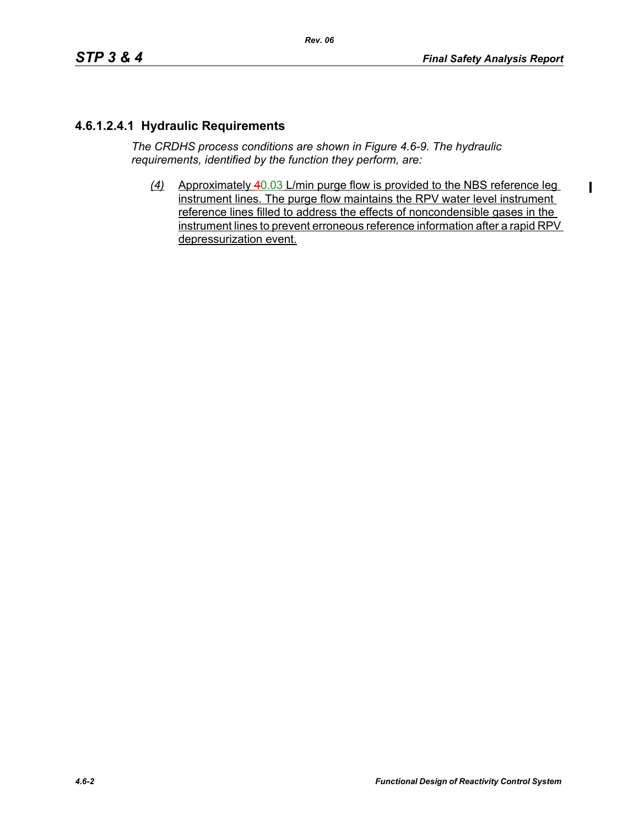$\overline{\phantom{a}}$ 

## **4.6.1.2.4.1 Hydraulic Requirements**

*The CRDHS process conditions are shown in Figure 4.6-9. The hydraulic requirements, identified by the function they perform, are:*

*(4)* Approximately 40.03 L/min purge flow is provided to the NBS reference leg instrument lines. The purge flow maintains the RPV water level instrument reference lines filled to address the effects of noncondensible gases in the instrument lines to prevent erroneous reference information after a rapid RPV depressurization event.